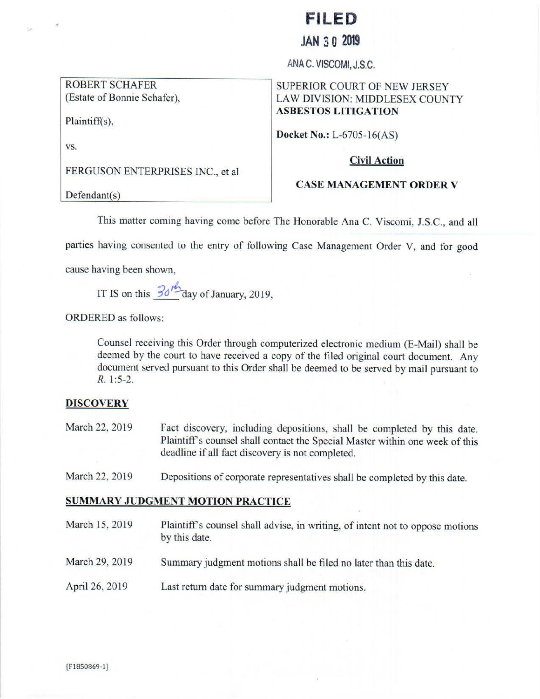# **FILED**

# **JAN 3 0 2019**

ANA C. VISCOMI, J.S.C.

## ROBERT SCHAFER (Estate of Bonnie Schafer),

#### Plaintiff(s),

#### vs.

N.C

FERGUSON ENTERPRISES INC., et al

# SUPERIOR COURT OF NEW JERSEY LAW DIVISION: MIDDLESEX COUNTY **ASBESTOS LITIGATION**

**Docket No.: L-6705-16(AS)** 

#### **Civil Action**

#### **CASE MANAGEMENT ORDER V**

 $Defendant(s)$ 

This matter coming having come before The Honorable Ana C. Viscomi, J.S.C., and all

parties having consented to the entry of following Case Management Order V, and for good

cause having been shown,

IT IS on this  $\frac{30^{16}}{9}$  day of January, 2019,

ORDERED as follows:

Counsel receiving this Order through computerized electronic medium (E-Mail) shall be deemed by the court to have received a copy of the filed original court document. Any document served pursuant to this Order shall be deemed to be served by mail pursuant to R. 1:5-2.

#### **DlSCOVERY**

- March 22, 2019 Fact discovery, including depositions, shall be completed by this date. Plaintiff's counsel shall contact the Special Master within one week of this deadline if all fact discovery is not completed.
- March 22, 2019 Depositions of corporate representatives shall be completed by this date.

## **SUMMARY JUDGMENT MOTION PRACTICE**

March 15, 2019 March 29, 2019 April 26, 2019 Plaintiff's counsel shall advise, in writing, of intent not to oppose motions by this date. Summary judgment motions shall be filed no later than this date. Last return date for summary judgment motions.